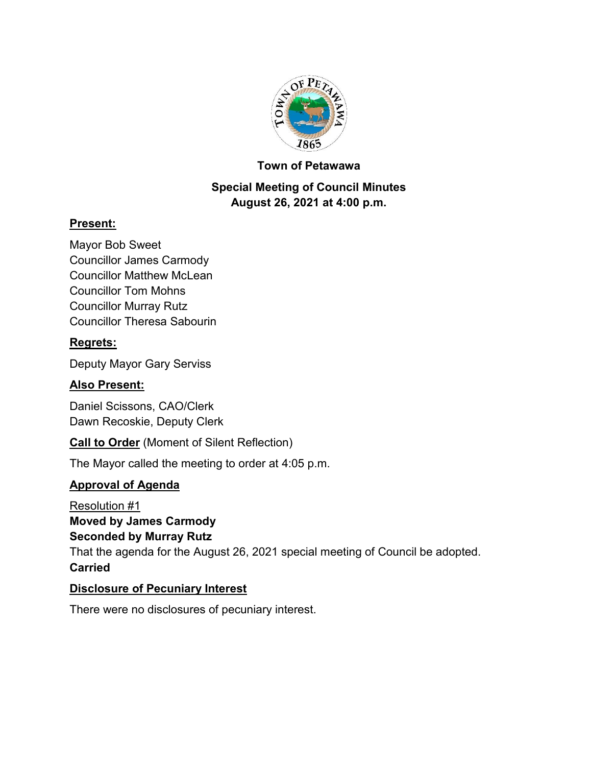

### **Town of Petawawa**

## **Special Meeting of Council Minutes August 26, 2021 at 4:00 p.m.**

## **Present:**

Mayor Bob Sweet Councillor James Carmody Councillor Matthew McLean Councillor Tom Mohns Councillor Murray Rutz Councillor Theresa Sabourin

## **Regrets:**

Deputy Mayor Gary Serviss

## **Also Present:**

Daniel Scissons, CAO/Clerk Dawn Recoskie, Deputy Clerk

**Call to Order** (Moment of Silent Reflection)

The Mayor called the meeting to order at 4:05 p.m.

## **Approval of Agenda**

Resolution #1 **Moved by James Carmody Seconded by Murray Rutz** That the agenda for the August 26, 2021 special meeting of Council be adopted. **Carried**

### **Disclosure of Pecuniary Interest**

There were no disclosures of pecuniary interest.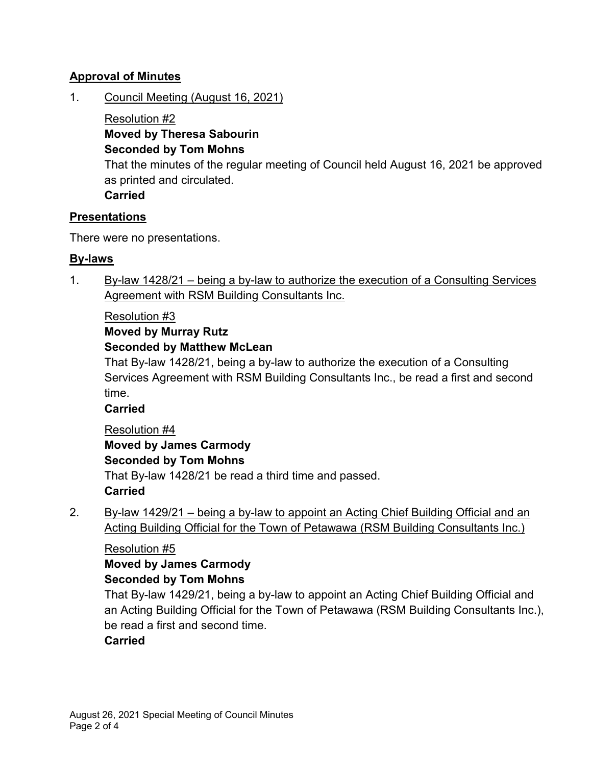## **Approval of Minutes**

1. Council Meeting (August 16, 2021)

Resolution #2 **Moved by Theresa Sabourin Seconded by Tom Mohns**

That the minutes of the regular meeting of Council held August 16, 2021 be approved as printed and circulated.

**Carried**

## **Presentations**

There were no presentations.

## **By-laws**

1. By-law 1428/21 – being a by-law to authorize the execution of a Consulting Services Agreement with RSM Building Consultants Inc.

## Resolution #3

## **Moved by Murray Rutz**

## **Seconded by Matthew McLean**

That By-law 1428/21, being a by-law to authorize the execution of a Consulting Services Agreement with RSM Building Consultants Inc., be read a first and second time.

## **Carried**

Resolution #4 **Moved by James Carmody Seconded by Tom Mohns** That By-law 1428/21 be read a third time and passed. **Carried**

2. By-law 1429/21 – being a by-law to appoint an Acting Chief Building Official and an Acting Building Official for the Town of Petawawa (RSM Building Consultants Inc.)

### Resolution #5

# **Moved by James Carmody**

### **Seconded by Tom Mohns**

That By-law 1429/21, being a by-law to appoint an Acting Chief Building Official and an Acting Building Official for the Town of Petawawa (RSM Building Consultants Inc.), be read a first and second time.

## **Carried**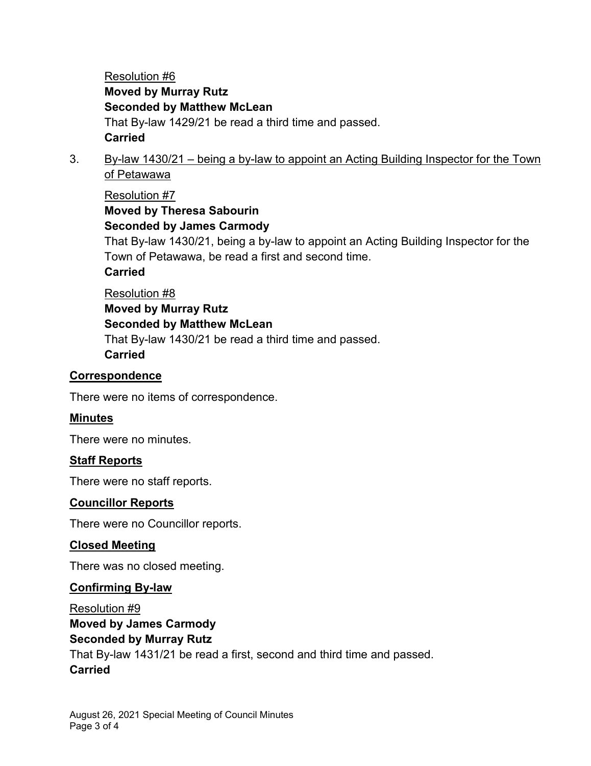Resolution #6 **Moved by Murray Rutz Seconded by Matthew McLean** That By-law 1429/21 be read a third time and passed. **Carried**

3. By-law 1430/21 – being a by-law to appoint an Acting Building Inspector for the Town of Petawawa

## Resolution #7 **Moved by Theresa Sabourin Seconded by James Carmody**

That By-law 1430/21, being a by-law to appoint an Acting Building Inspector for the Town of Petawawa, be read a first and second time.

## **Carried**

## Resolution #8

## **Moved by Murray Rutz Seconded by Matthew McLean** That By-law 1430/21 be read a third time and passed. **Carried**

## **Correspondence**

There were no items of correspondence.

### **Minutes**

There were no minutes.

### **Staff Reports**

There were no staff reports.

### **Councillor Reports**

There were no Councillor reports.

### **Closed Meeting**

There was no closed meeting.

### **Confirming By-law**

Resolution #9 **Moved by James Carmody Seconded by Murray Rutz** That By-law 1431/21 be read a first, second and third time and passed. **Carried**